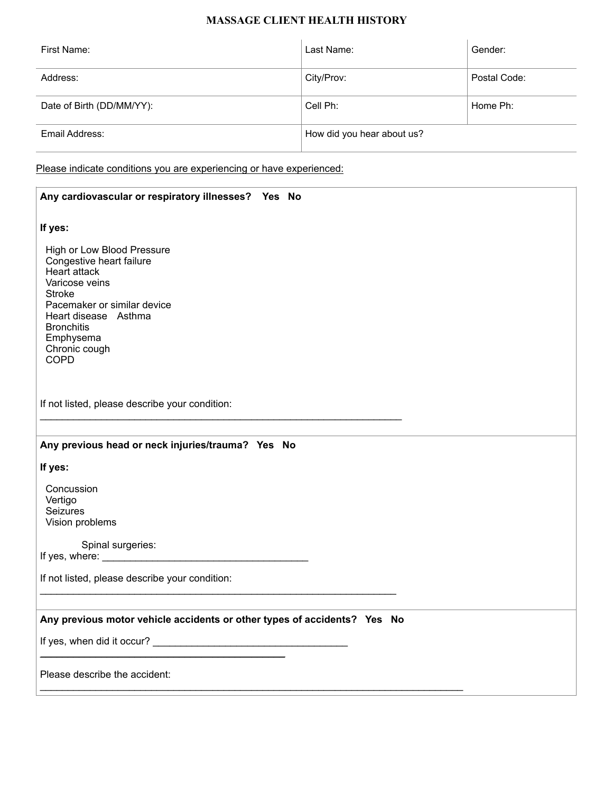# **MASSAGE CLIENT HEALTH HISTORY**

| First Name:               | Last Name:                 | Gender:      |
|---------------------------|----------------------------|--------------|
| Address:                  | City/Prov:                 | Postal Code: |
| Date of Birth (DD/MM/YY): | Cell Ph:                   | Home Ph:     |
| Email Address:            | How did you hear about us? |              |

Please indicate conditions you are experiencing or have experienced:

| Any cardiovascular or respiratory illnesses? Yes No                                                                                                                                                                                |  |  |
|------------------------------------------------------------------------------------------------------------------------------------------------------------------------------------------------------------------------------------|--|--|
| If yes:                                                                                                                                                                                                                            |  |  |
| High or Low Blood Pressure<br>Congestive heart failure<br>Heart attack<br>Varicose veins<br><b>Stroke</b><br>Pacemaker or similar device<br>Heart disease Asthma<br><b>Bronchitis</b><br>Emphysema<br>Chronic cough<br><b>COPD</b> |  |  |
| If not listed, please describe your condition:                                                                                                                                                                                     |  |  |
| Any previous head or neck injuries/trauma? Yes No                                                                                                                                                                                  |  |  |
| If yes:                                                                                                                                                                                                                            |  |  |
| Concussion<br>Vertigo<br>Seizures<br>Vision problems                                                                                                                                                                               |  |  |
| Spinal surgeries:                                                                                                                                                                                                                  |  |  |
| If not listed, please describe your condition:                                                                                                                                                                                     |  |  |
| Any previous motor vehicle accidents or other types of accidents? Yes No                                                                                                                                                           |  |  |
|                                                                                                                                                                                                                                    |  |  |
| Please describe the accident:                                                                                                                                                                                                      |  |  |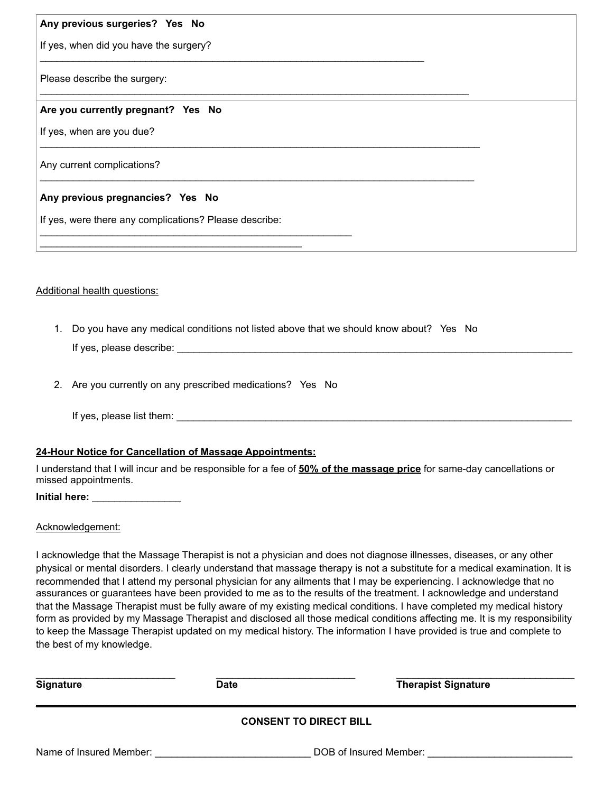## **Any previous surgeries? Yes No**

If yes, when did you have the surgery?

Please describe the surgery:

#### **Are you currently pregnant? Yes No**

If yes, when are you due?

Any current complications?

## **Any previous pregnancies? Yes No**

If yes, were there any complications? Please describe:

\_\_\_\_\_\_\_\_\_\_\_\_\_\_\_\_\_\_\_\_\_\_\_\_\_\_\_\_\_\_\_\_\_\_\_\_\_\_\_\_\_\_\_\_\_\_\_

Additional health questions:

1. Do you have any medical conditions not listed above that we should know about? Yes No If yes, please describe:

\_\_\_\_\_\_\_\_\_\_\_\_\_\_\_\_\_\_\_\_\_\_\_\_\_\_\_\_\_\_\_\_\_\_\_\_\_\_\_\_\_\_\_\_\_\_\_\_\_\_\_\_\_\_\_\_\_\_\_\_\_\_\_\_\_\_\_\_\_

\_\_\_\_\_\_\_\_\_\_\_\_\_\_\_\_\_\_\_\_\_\_\_\_\_\_\_\_\_\_\_\_\_\_\_\_\_\_\_\_\_\_\_\_\_\_\_\_\_\_\_\_\_\_\_\_\_\_\_\_\_\_\_\_\_\_\_\_\_\_\_\_\_\_\_\_\_

\_\_\_\_\_\_\_\_\_\_\_\_\_\_\_\_\_\_\_\_\_\_\_\_\_\_\_\_\_\_\_\_\_\_\_\_\_\_\_\_\_\_\_\_\_\_\_\_\_\_\_\_\_\_\_\_\_\_\_\_\_\_\_\_\_\_\_\_\_\_\_\_\_\_\_\_\_\_\_

\_\_\_\_\_\_\_\_\_\_\_\_\_\_\_\_\_\_\_\_\_\_\_\_\_\_\_\_\_\_\_\_\_\_\_\_\_\_\_\_\_\_\_\_\_\_\_\_\_\_\_\_\_\_\_\_\_\_\_\_\_\_\_\_\_\_\_\_\_\_\_\_\_\_\_\_\_\_

2. Are you currently on any prescribed medications? Yes No

\_\_\_\_\_\_\_\_\_\_\_\_\_\_\_\_\_\_\_\_\_\_\_\_\_\_\_\_\_\_\_\_\_\_\_\_\_\_\_\_\_\_\_\_\_\_\_\_\_\_\_\_\_\_\_\_

If yes, please list them:  $\blacksquare$ 

## **24-Hour Notice for Cancellation of Massage Appointments:**

I understand that I will incur and be responsible for a fee of **50% of the massage price** for same-day cancellations or missed appointments.

**Initial here:** \_\_\_\_\_\_\_\_\_\_\_\_\_\_\_\_

#### Acknowledgement:

I acknowledge that the Massage Therapist is not a physician and does not diagnose illnesses, diseases, or any other physical or mental disorders. I clearly understand that massage therapy is not a substitute for a medical examination. It is recommended that I attend my personal physician for any ailments that I may be experiencing. I acknowledge that no assurances or guarantees have been provided to me as to the results of the treatment. I acknowledge and understand that the Massage Therapist must be fully aware of my existing medical conditions. I have completed my medical history form as provided by my Massage Therapist and disclosed all those medical conditions affecting me. It is my responsibility to keep the Massage Therapist updated on my medical history. The information I have provided is true and complete to the best of my knowledge.

| <b>Signature</b> | <b>Date</b>            | <b>Therapist Signature</b> |
|------------------|------------------------|----------------------------|
|                  | CONSENT TO DIRECT BILL |                            |

# **CONSENT TO DIRECT BILL**